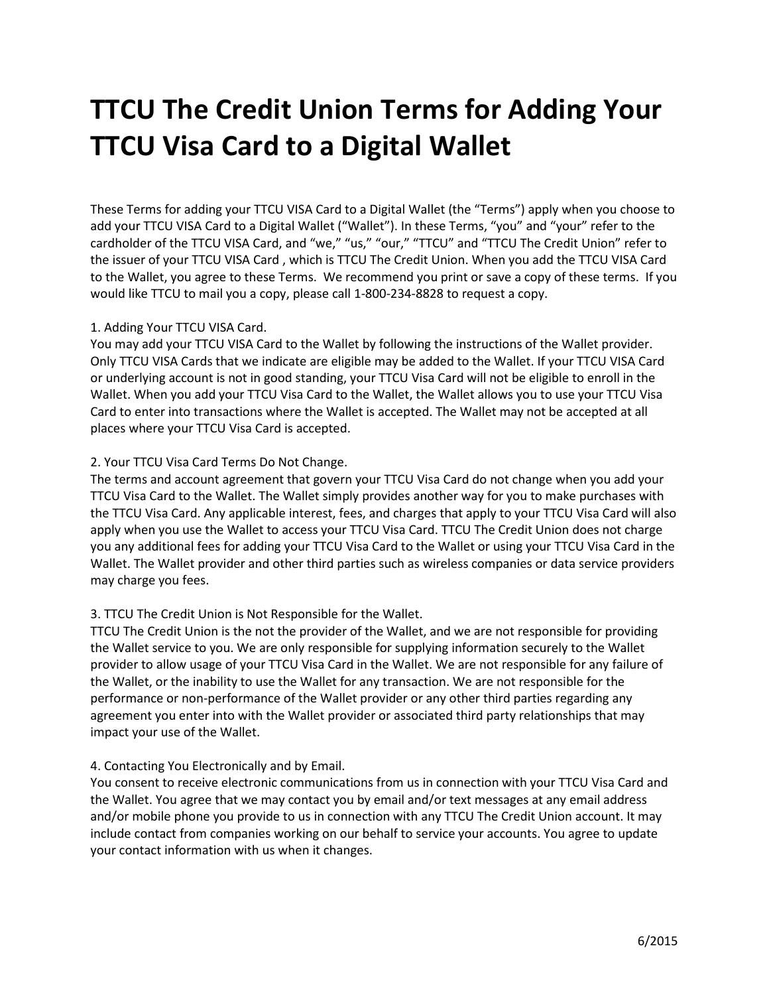# **TTCU The Credit Union Terms for Adding Your TTCU Visa Card to a Digital Wallet**

These Terms for adding your TTCU VISA Card to a Digital Wallet (the "Terms") apply when you choose to add your TTCU VISA Card to a Digital Wallet ("Wallet"). In these Terms, "you" and "your" refer to the cardholder of the TTCU VISA Card, and "we," "us," "our," "TTCU" and "TTCU The Credit Union" refer to the issuer of your TTCU VISA Card , which is TTCU The Credit Union. When you add the TTCU VISA Card to the Wallet, you agree to these Terms. We recommend you print or save a copy of these terms. If you would like TTCU to mail you a copy, please call 1-800-234-8828 to request a copy.

## 1. Adding Your TTCU VISA Card.

You may add your TTCU VISA Card to the Wallet by following the instructions of the Wallet provider. Only TTCU VISA Cards that we indicate are eligible may be added to the Wallet. If your TTCU VISA Card or underlying account is not in good standing, your TTCU Visa Card will not be eligible to enroll in the Wallet. When you add your TTCU Visa Card to the Wallet, the Wallet allows you to use your TTCU Visa Card to enter into transactions where the Wallet is accepted. The Wallet may not be accepted at all places where your TTCU Visa Card is accepted.

## 2. Your TTCU Visa Card Terms Do Not Change.

The terms and account agreement that govern your TTCU Visa Card do not change when you add your TTCU Visa Card to the Wallet. The Wallet simply provides another way for you to make purchases with the TTCU Visa Card. Any applicable interest, fees, and charges that apply to your TTCU Visa Card will also apply when you use the Wallet to access your TTCU Visa Card. TTCU The Credit Union does not charge you any additional fees for adding your TTCU Visa Card to the Wallet or using your TTCU Visa Card in the Wallet. The Wallet provider and other third parties such as wireless companies or data service providers may charge you fees.

## 3. TTCU The Credit Union is Not Responsible for the Wallet.

TTCU The Credit Union is the not the provider of the Wallet, and we are not responsible for providing the Wallet service to you. We are only responsible for supplying information securely to the Wallet provider to allow usage of your TTCU Visa Card in the Wallet. We are not responsible for any failure of the Wallet, or the inability to use the Wallet for any transaction. We are not responsible for the performance or non-performance of the Wallet provider or any other third parties regarding any agreement you enter into with the Wallet provider or associated third party relationships that may impact your use of the Wallet.

## 4. Contacting You Electronically and by Email.

You consent to receive electronic communications from us in connection with your TTCU Visa Card and the Wallet. You agree that we may contact you by email and/or text messages at any email address and/or mobile phone you provide to us in connection with any TTCU The Credit Union account. It may include contact from companies working on our behalf to service your accounts. You agree to update your contact information with us when it changes.